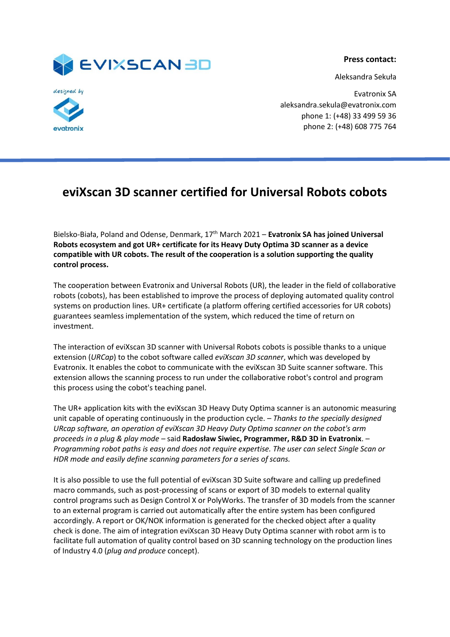

**Press contact:**

Aleksandra Sekuła



Evatronix SA aleksandra.sekula@evatronix.com phone 1: (+48) 33 499 59 36 phone 2: (+48) 608 775 764

## **eviXscan 3D scanner certified for Universal Robots cobots**

Bielsko-Biała, Poland and Odense, Denmark, 17th March 2021 – **Evatronix SA has joined Universal Robots ecosystem and got UR+ certificate for its Heavy Duty Optima 3D scanner as a device compatible with UR cobots. The result of the cooperation is a solution supporting the quality control process.** 

The cooperation between Evatronix and Universal Robots (UR), the leader in the field of collaborative robots (cobots), has been established to improve the process of deploying automated quality control systems on production lines. UR+ certificate (a platform offering certified accessories for UR cobots) guarantees seamless implementation of the system, which reduced the time of return on investment.

The interaction of eviXscan 3D scanner with Universal Robots cobots is possible thanks to a unique extension (*URCap*) to the cobot software called *eviXscan 3D scanner*, which was developed by Evatronix. It enables the cobot to communicate with the eviXscan 3D Suite scanner software. This extension allows the scanning process to run under the collaborative robot's control and program this process using the cobot's teaching panel.

The UR+ application kits with the eviXscan 3D Heavy Duty Optima scanner is an autonomic measuring unit capable of operating continuously in the production cycle. *– Thanks to the specially designed URcap software, an operation of eviXscan 3D Heavy Duty Optima scanner on the cobot's arm proceeds in a plug & play mode –* said **Radosław Siwiec, Programmer, R&D 3D in Evatronix**. *– Programming robot paths is easy and does not require expertise. The user can select Single Scan or HDR mode and easily define scanning parameters for a series of scans.*

It is also possible to use the full potential of eviXscan 3D Suite software and calling up predefined macro commands, such as post-processing of scans or export of 3D models to external quality control programs such as Design Control X or PolyWorks. The transfer of 3D models from the scanner to an external program is carried out automatically after the entire system has been configured accordingly. A report or OK/NOK information is generated for the checked object after a quality check is done. The aim of integration eviXscan 3D Heavy Duty Optima scanner with robot arm is to facilitate full automation of quality control based on 3D scanning technology on the production lines of Industry 4.0 (*plug and produce* concept).